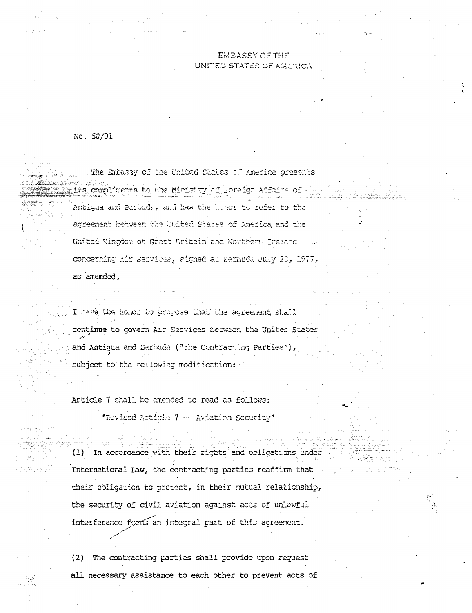## **EMBASSY OF THE** UNITED STATES OF AMERICA

No. 50/91

The Embassy of the United States of America presents its compliments to the Ministry of Foreign Affairs of Antigua and Berbuda, and has the honor to refer to the agreement between the United States of America and the United Kingdom of Great Eritain and Northerm Ireland concerning Mir Services, signed at Bermuda July 23, 1977, as amended.

I have the honor to propose that the agreement shall continue to govern Air Services between the United States. and Antigua and Barbuda ("the Contracting Parties"), subject to the following modification:

Article 7 shall be amended to read as follows:

"Revised Article 7 - Aviation Security"

(1) In accordance with their rights and obligations under International Law, the contracting parties reaffirm that their obligation to protect, in their mutual relationship, the security of civil aviation against acts of unlawful interference forms an integral part of this agreement.

 $(2)$ The contracting parties shall provide upon request all necessary assistance to each other to prevent acts of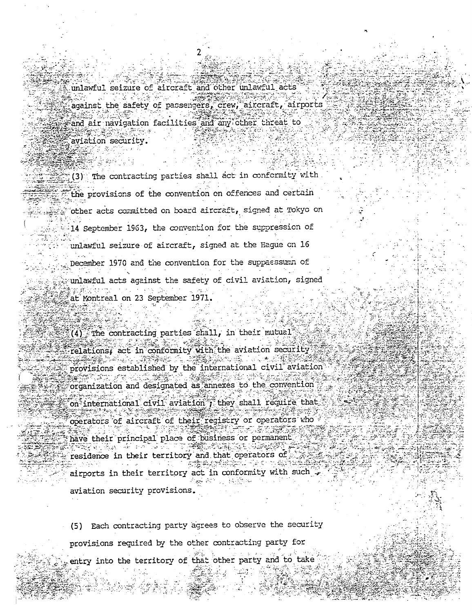unlawful seizure of aircraft and other unlawful acts against the safety of passengers, crew, aircraft, airports and air navigation facilities and any other threat to aviation security.

(3) The contracting parties shall act in conformity with the provisions of the convention on offences and certain other acts committed on board aircraft, signed at Tokyo on 14 September 1963, the convention for the suppression of unlawful seizure of aircraft, signed at the Hague on 16 December 1970 and the convention for the suppassum of unlawful acts against the safety of civil aviation, signed at Montreal on 23 September 1971.

(4) The contracting parties shall, in their mutual relations, act in conformity with the aviation security provisions established by the international civil aviation organization and designated as annexes to the convention on international civil aviation ; they shall require that operators of aircraft of their registry or operators who have their principal place of business or permanent residence in their territory and that operators of airports in their territory act in conformity with such aviation security provisions .

(5) Each contracting party agrees to observe the security provisions required by the other contracting party for entry into the territory of that other party and to take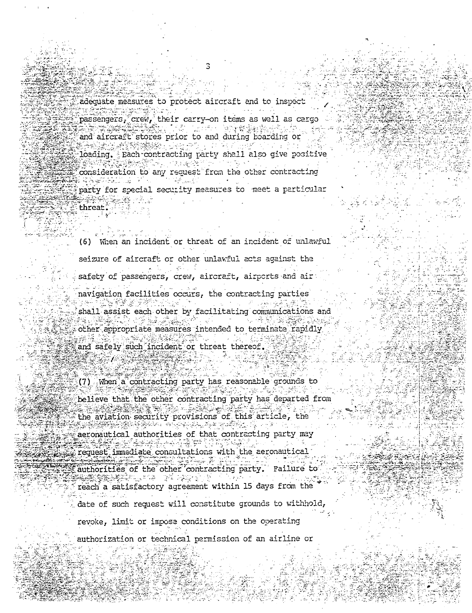adequate measures to protect aircraft and to inspect passengers, crew, their carry-on items as well as cargo "学" (2015) - [92] 整整线 and aircraft stores prior to and during boarding or loading. Each contracting party shall also give positive 나는 기대는 것이다 consideration to any request from the other contracting i i Preferencija i p မြို့ကြား ရေကြအောင်ကြောင်းသည်။ ကိုးကားသည် party for special security measures to meet a particular أمنية تلتوبون

threat

(6) When an incident or threat of an incident of unlawful seizure of aircraft or other unlawful acts against the

safety of passengers, crew, aircraft, airports and air navigation facilities occurs, the contracting parties I ah shi ka ka kale a ka **Canadian State** 

shall assist each other by facilitating communications and 및 사회주의 사장 1919년 - 1919년 - 1919년 - 1919년 그는 생활하고 비싸지고 있는데 other appropriate measures intended to terminate rapidly

and safely such incident or threat thereof. 269

(7) When a contracting party has reasonable grounds to أأتان والمرتوبين na Antika KG WAP believe that the other contracting party has departed from the aviation security provisions of this article, the (and hard a series of grades are produced by a product of

aeronautical authorities of that contracting party may တို့ ရှိခဲ့ပါတီကို ပြုလုပ်ခဲ့သည်။ သူတို့ အသုံးပြုလုပ်ခဲ့သည်။<br>မိုက်မျိုးကြီး ရေများကို ပြုလုပ်ခဲ့သည်။ မိုက်မျိုးကြီး အတွက် အသိုးသည် အသုံးပြုလုပ်ခဲ့သည့် အသုံးပြုလုပ်ခဲ့သည်။<br>ထိုက်မိုးစွားသည်။ ပြုလုပ်ခဲ့သည်။ အခြားမှာ ပါဝင်ဆင် request immediate consultations with the aeronautical authorities of the other contracting party. Failure to reach a satisfactory agreement within 15 days from the

date of such request will constitute grounds to withhold,

revoke, limit or impose conditions on the operating

authorization or technical permission of an airline or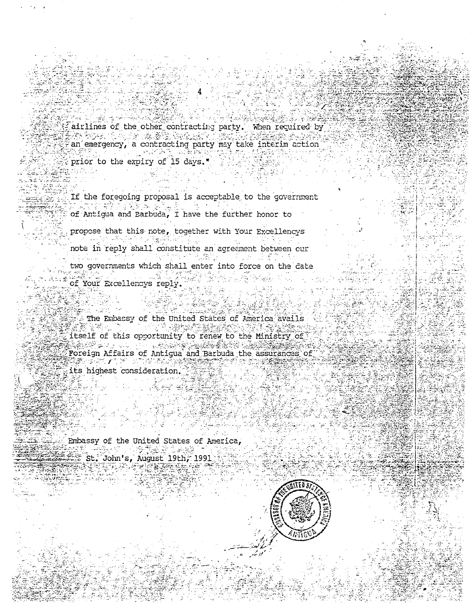ాజ్లాడ్ గ్రామాల  $\frac{1}{2}$  airlines of the other contracting party. When required by **不全要**,不可是,最重要要有人的 an emergency, a contracting party may take interim action  $\mathbb{R}$  prior to the expiry of 15 days.  $\blacksquare$ 

If the foregoing proposal is acceptable to the government 医双角菌科病 超高速  $\tilde{E}$  of Antigua and Barbuda, I have the further honor to

:propose that this-note, together with Your Excellencys note in reply shall constitute an agreement between cur two governments which shall enter into force on the date of Your Excellencys reply.

The Embassy of the United States of America avails 諸葛亮地について the grands t zieral titself of this opportunity to renew to the Ministry of 19.2009 - Paul Paul Andrews, 1980 Foreign Affairs of Antigua and Barbuda the assurances of **Society Altains of Antigua and Barbuda the** 

its highest consideration.

in a Sta

Embassy of the United States of America, (我需要的), 就要 (?) St. John's, August 19th, 1991

남편 중국 (주의

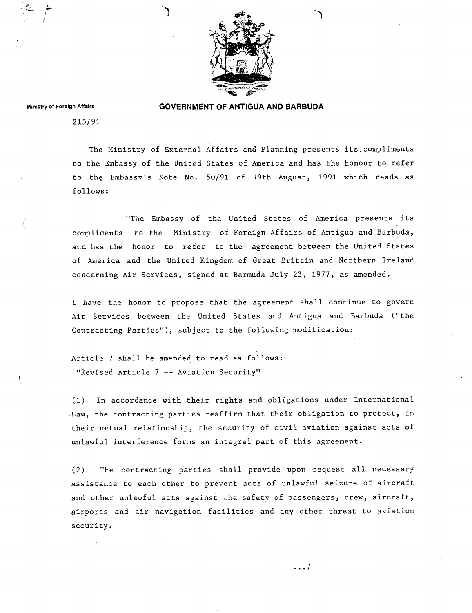

## GOVERNMENT OF ANTIGUA AND BARBUDA

Ministry of Foreign Affairs

215/91

The Ministry of External Affairs and Planning presents its . compliments to the Embassy of the United States of America and has the honour to refer to the Embassy's Note No. 50/91 of 19th August, 1991 which reads as follows :

"The Embassy of the United States of America presents its compliments to the Ministry of Foreign Affairs of Antigua and Barbuda, and has the honor to refer to the agreement between the United States of America and the United Kingdom of Great Britain and Northern Ireland concerning Air Services, signed at Bermuda July 23, 1977, as amended .

I have the honor to propose that the agreement shall continue to govern Air Services between the United States and Antigua and Barbuda ("the Contracting Parties"), subject to the following modification:

Article 7 shall be amended to read as follows : "Revised Article 7 -- Aviation Security"

(1) In accordance with their rights and obligations under International Law, the contracting parties reaffirm that their obligation to protect, in their mutual relationship, the security of civil aviation against acts of unlawful interference forms an integral part of this agreement.

(2) The contracting parties shall provide upon request all necessary assistance to each other to prevent acts of unlawful seizure of aircraft and other unlawful acts against the safety of passengers, crew, aircraft, airports and air navigation facilities -and any other threat to aviation security .

 $\ldots/$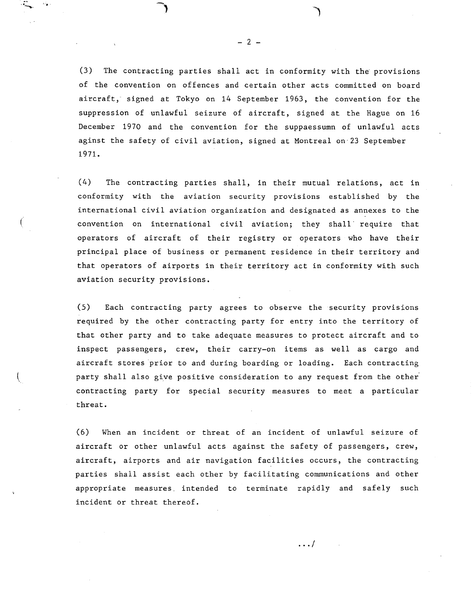(3) The contracting parties shall act in conformity with the provisions of the convention on offences and certain other acts committed on board aircraft, signed at Tokyo on 14 September 1963, the convention for the suppression of unlawful seizure of aircraft, signed at the Hague on 16 December 1970 and the convention for the suppaessumn of unlawful acts aginst the safety of civil aviation, signed at Montreal on-23 September 1971 .

(4) The contracting parties shall, in their mutual relations, act in conformity with the aviation security provisions established by the international civil aviation organization and designated as annexes to the convention on international civil aviation; they shall require that operators of aircraft of their registry or operators who have their principal place of business or permanent residence in their territory and that operators of airports in their territory act in conformity with such aviation security provisions .

(5) Each contracting party agrees to observe the security provisions required by the other contracting party for entry into the territory of that other party and to take adequate measures to protect aircraft and to inspect passengers, crew, their carry-on items as well as cargo and aircraft stores prior to and during boarding or loading. Each contracting party shall also give positive consideration to any request from the other contracting party for special security measures to meet a particular threat .

(6) When an incident or threat of an incident of unlawful seizure of aircraft or other unlawful acts against the safety of passengers, crew, aircraft, airports and air navigation facilities occurs, the contracting parties shall assist each other by facilitating communications and other appropriate measures intended to terminate rapidly and safely such incident or threat thereof .

. . . /

 $- 2 -$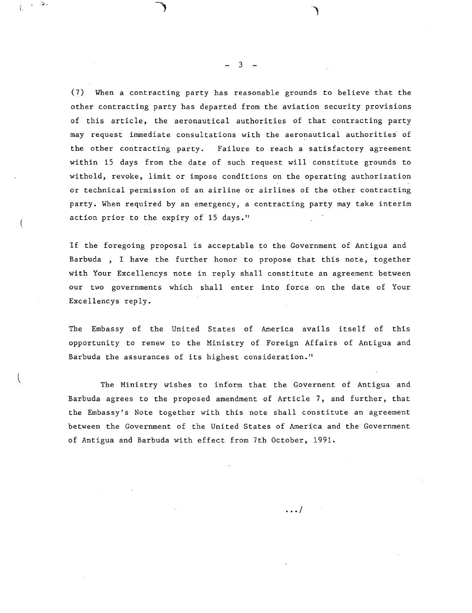(7) When <sup>a</sup> contracting party has reasonable grounds to believe that the other contracting party has departed from the aviation security provisions of this article, the aeronautical authorities of that contracting party may request immediate consultations with the aeronautical authorities of the other contracting party. Failure to reach a satisfactory agreement within 15 days from the date of such request will constitute grounds to withold, revoke, limit or impose conditions on the operating authorization or technical permission of an airline or airlines of the other contracting party. When required by an emergency, a contracting party may take interim action prior to the expiry of 15 days ."

If the foregoing proposal is acceptable to the Government of Antigua and Barbuda , I have the further honor to propose that this note, together with Your Excellencys note in reply shall constitute an agreement between our two governments which shall enter into force on the date of Your Excellencys reply .

The Embassy of the United States of America avails itself of this opportunity to renew to the Ministry of Foreign Affairs of Antigua and Barbuda the assurances of its highest consideration ."

The Ministry wishes to inform that the Governent of Antigua and Barbuda agrees to the proposed amendment of Article 7, and further, that the Embassy's Note together with this note shall constitute an agreement between the Government of the United States of America and the Government of Antigua and Barbuda with effect from 7th October, 1991 .

./

3

 $\alpha=2\epsilon$